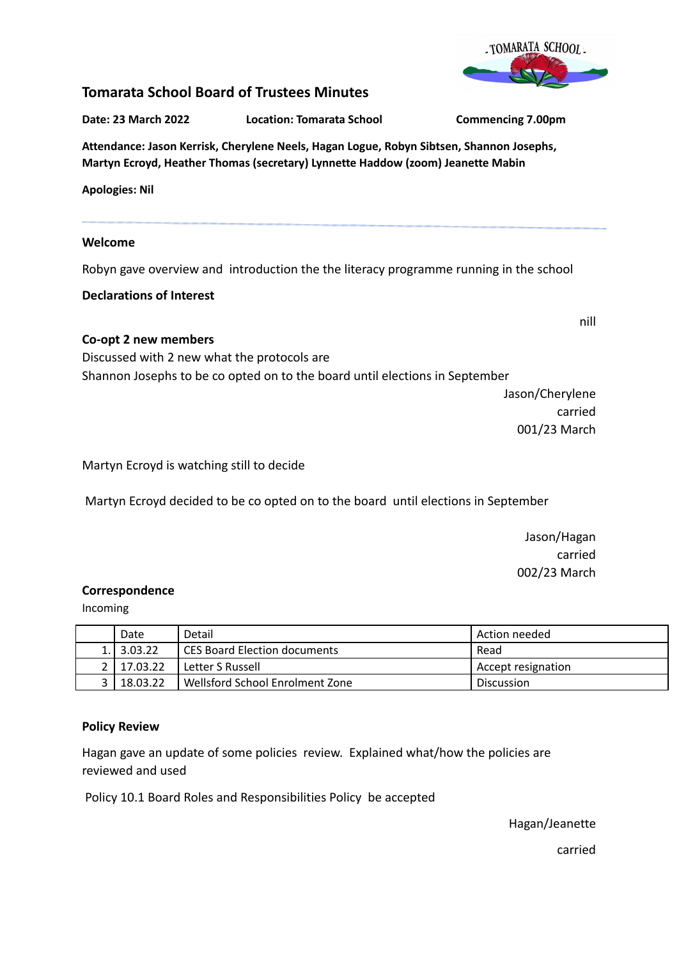

# **Tomarata School Board of Trustees Minutes**

**Date: 23 March 2022 Location: Tomarata School Commencing 7.00pm**

# **Attendance: Jason Kerrisk, Cherylene Neels, Hagan Logue, Robyn Sibtsen, Shannon Josephs, Martyn Ecroyd, Heather Thomas (secretary) Lynnette Haddow (zoom) Jeanette Mabin**

**Apologies: Nil**

## **Welcome**

Robyn gave overview and introduction the the literacy programme running in the school

**Declarations of Interest**

## **Co-opt 2 new members**

Discussed with 2 new what the protocols are Shannon Josephs to be co opted on to the board until elections in September

Jason/Cherylene carried 001/23 March

nill

Martyn Ecroyd is watching still to decide

Martyn Ecroyd decided to be co opted on to the board until elections in September

Jason/Hagan carried 002/23 March

### **Correspondence**

Incoming

| Date             | Detail                          | Action needed      |
|------------------|---------------------------------|--------------------|
| 1.13.03.22       | CES Board Election documents    | Read               |
| 2   17.03.22     | Letter S Russell                | Accept resignation |
| $\vert$ 18.03.22 | Wellsford School Enrolment Zone | <b>Discussion</b>  |

## **Policy Review**

Hagan gave an update of some policies review. Explained what/how the policies are reviewed and used

Policy 10.1 Board Roles and Responsibilities Policy be accepted

Hagan/Jeanette

carried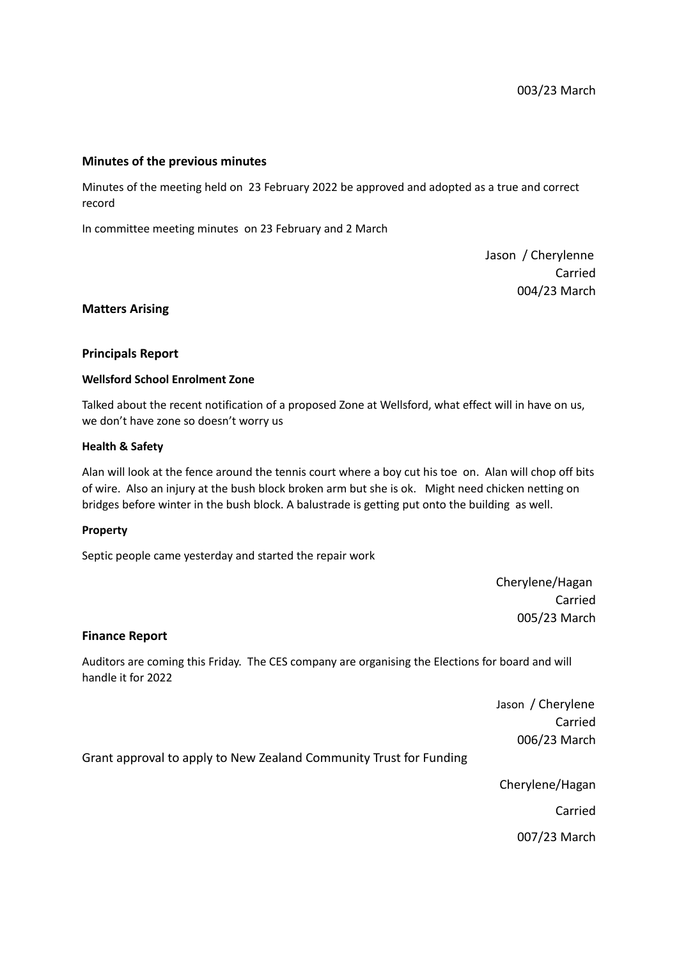### **Minutes of the previous minutes**

Minutes of the meeting held on 23 February 2022 be approved and adopted as a true and correct record

In committee meeting minutes on 23 February and 2 March

Jason / Cherylenne Carried 004/23 March

#### **Matters Arising**

#### **Principals Report**

#### **Wellsford School Enrolment Zone**

Talked about the recent notification of a proposed Zone at Wellsford, what effect will in have on us, we don't have zone so doesn't worry us

#### **Health & Safety**

Alan will look at the fence around the tennis court where a boy cut his toe on. Alan will chop off bits of wire. Also an injury at the bush block broken arm but she is ok. Might need chicken netting on bridges before winter in the bush block. A balustrade is getting put onto the building as well.

#### **Property**

Septic people came yesterday and started the repair work

Cherylene/Hagan Carried 005/23 March

#### **Finance Report**

Auditors are coming this Friday. The CES company are organising the Elections for board and will handle it for 2022

> Jason / Cherylene Carried 006/23 March

Grant approval to apply to New Zealand Community Trust for Funding

Cherylene/Hagan

Carried

007/23 March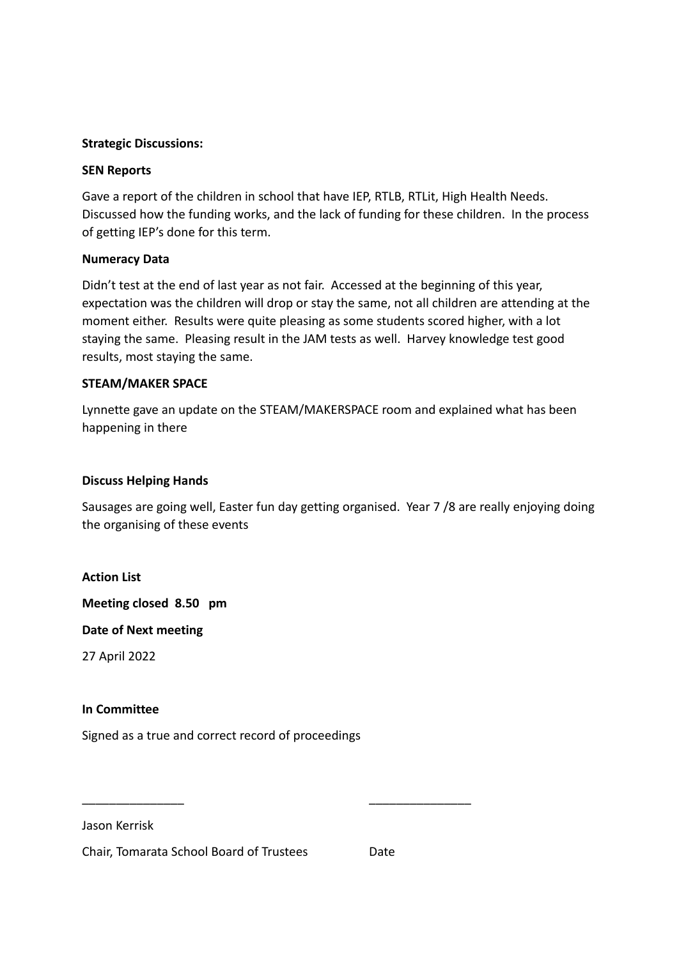## **Strategic Discussions:**

## **SEN Reports**

Gave a report of the children in school that have IEP, RTLB, RTLit, High Health Needs. Discussed how the funding works, and the lack of funding for these children. In the process of getting IEP's done for this term.

## **Numeracy Data**

Didn't test at the end of last year as not fair. Accessed at the beginning of this year, expectation was the children will drop or stay the same, not all children are attending at the moment either. Results were quite pleasing as some students scored higher, with a lot staying the same. Pleasing result in the JAM tests as well. Harvey knowledge test good results, most staying the same.

## **STEAM/MAKER SPACE**

Lynnette gave an update on the STEAM/MAKERSPACE room and explained what has been happening in there

## **Discuss Helping Hands**

Sausages are going well, Easter fun day getting organised. Year 7 /8 are really enjoying doing the organising of these events

## **Action List**

**Meeting closed 8.50 pm**

**Date of Next meeting**

27 April 2022

## **In Committee**

Signed as a true and correct record of proceedings

Jason Kerrisk

Chair, Tomarata School Board of Trustees Date

\_\_\_\_\_\_\_\_\_\_\_\_\_\_\_ \_\_\_\_\_\_\_\_\_\_\_\_\_\_\_